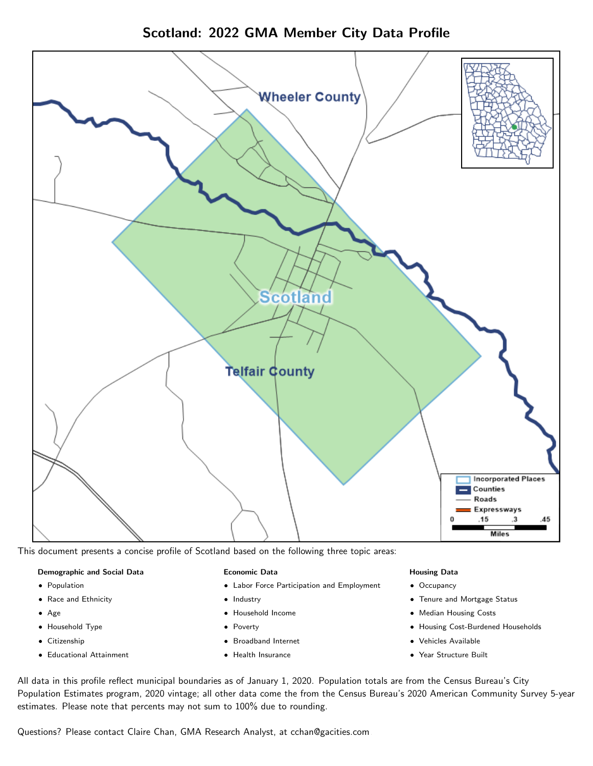



This document presents a concise profile of Scotland based on the following three topic areas:

## Demographic and Social Data

- **•** Population
- Race and Ethnicity
- Age
- Household Type
- **Citizenship**
- Educational Attainment

## Economic Data

- Labor Force Participation and Employment
- Industry
- Household Income
- Poverty
- Broadband Internet
- Health Insurance

## Housing Data

- Occupancy
- Tenure and Mortgage Status
- Median Housing Costs
- Housing Cost-Burdened Households
- Vehicles Available
- Year Structure Built

All data in this profile reflect municipal boundaries as of January 1, 2020. Population totals are from the Census Bureau's City Population Estimates program, 2020 vintage; all other data come the from the Census Bureau's 2020 American Community Survey 5-year estimates. Please note that percents may not sum to 100% due to rounding.

Questions? Please contact Claire Chan, GMA Research Analyst, at [cchan@gacities.com.](mailto:cchan@gacities.com)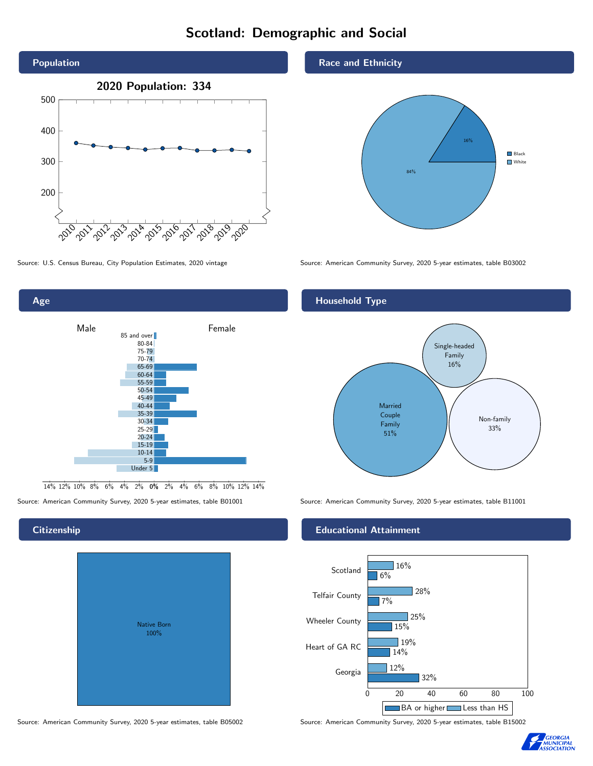# Scotland: Demographic and Social



Male **Female** 85 and over 80-84 75-79 70-74 65-69 60-64 55-59 50-54 45-49 40-44 35-39 30-34  $25 - 29$ 20-24 15-19 10-14 5-9 Under 5

0% 2% 4% 6% 8% 10% 12% 14% 14% 12% 10% 8% 6% 4% 2%

## **Citizenship**

Age

| <b>Native Born</b><br>100% |  |
|----------------------------|--|

Race and Ethnicity



Source: U.S. Census Bureau, City Population Estimates, 2020 vintage Source: American Community Survey, 2020 5-year estimates, table B03002

## Household Type



Source: American Community Survey, 2020 5-year estimates, table B01001 Source: American Community Survey, 2020 5-year estimates, table B11001

## Educational Attainment



Source: American Community Survey, 2020 5-year estimates, table B05002 Source: American Community Survey, 2020 5-year estimates, table B15002

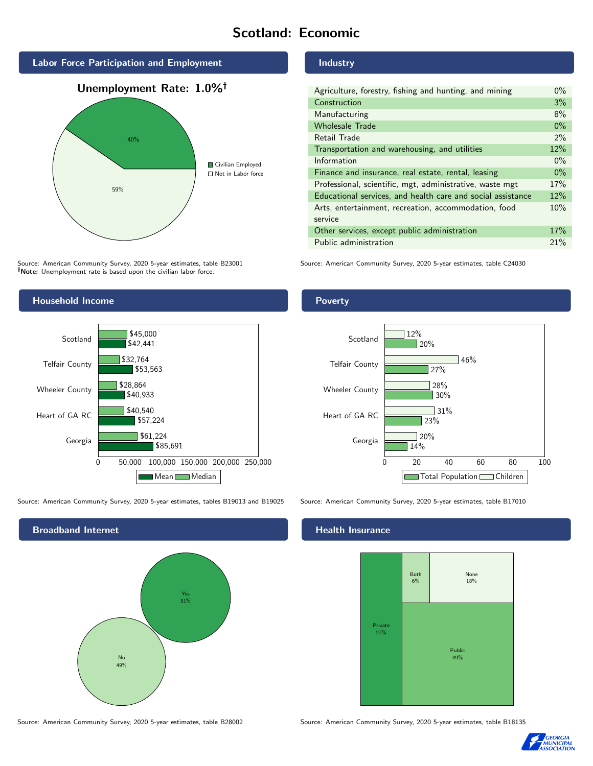# Scotland: Economic

Industry



Source: American Community Survey, 2020 5-year estimates, table B23001 Note: Unemployment rate is based upon the civilian labor force.

## Wholesale Trade 0% Retail Trade 2% Transportation and warehousing, and utilities 12% Information  $0\%$ Finance and insurance, real estate, rental, leasing 0% Professional, scientific, mgt, administrative, waste mgt 17% Educational services, and health care and social assistance 12% Arts, entertainment, recreation, accommodation, food service 10% Other services, except public administration 17% Public administration 21%

30%

28%

31%

27%

46%

Agriculture, forestry, fishing and hunting, and mining 0% Construction 3% Manufacturing 8%

Source: American Community Survey, 2020 5-year estimates, table C24030



Source: American Community Survey, 2020 5-year estimates, tables B19013 and B19025 Source: American Community Survey, 2020 5-year estimates, table B17010

Broadband Internet No 49% Yes 51%

## Health Insurance



Source: American Community Survey, 2020 5-year estimates, table B28002 Source: American Community Survey, 2020 5-year estimates, table B18135